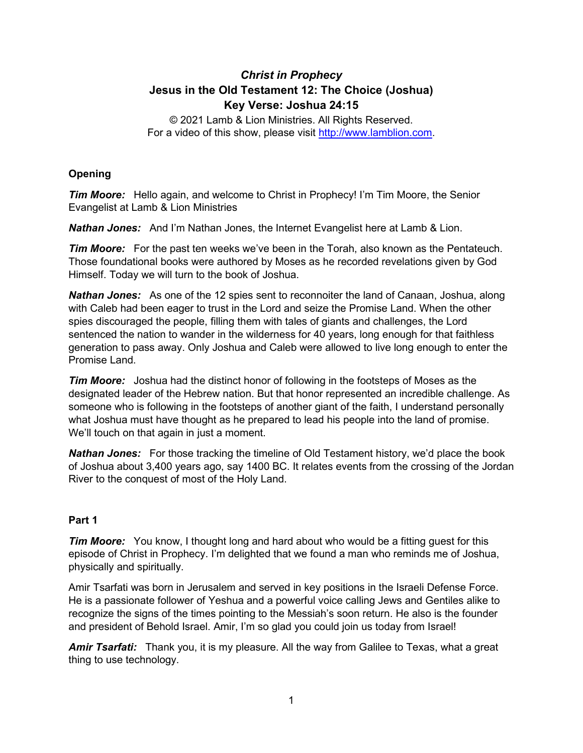# *Christ in Prophecy* **Jesus in the Old Testament 12: The Choice (Joshua) Key Verse: Joshua 24:15**

© 2021 Lamb & Lion Ministries. All Rights Reserved. For a video of this show, please visit [http://www.lamblion.com.](http://www.lamblion.com/)

## **Opening**

*Tim Moore:* Hello again, and welcome to Christ in Prophecy! I'm Tim Moore, the Senior Evangelist at Lamb & Lion Ministries

*Nathan Jones:* And I'm Nathan Jones, the Internet Evangelist here at Lamb & Lion.

*Tim Moore:* For the past ten weeks we've been in the Torah, also known as the Pentateuch. Those foundational books were authored by Moses as he recorded revelations given by God Himself. Today we will turn to the book of Joshua.

*Nathan Jones:* As one of the 12 spies sent to reconnoiter the land of Canaan, Joshua, along with Caleb had been eager to trust in the Lord and seize the Promise Land. When the other spies discouraged the people, filling them with tales of giants and challenges, the Lord sentenced the nation to wander in the wilderness for 40 years, long enough for that faithless generation to pass away. Only Joshua and Caleb were allowed to live long enough to enter the Promise Land.

*Tim Moore:* Joshua had the distinct honor of following in the footsteps of Moses as the designated leader of the Hebrew nation. But that honor represented an incredible challenge. As someone who is following in the footsteps of another giant of the faith, I understand personally what Joshua must have thought as he prepared to lead his people into the land of promise. We'll touch on that again in just a moment.

**Nathan Jones:** For those tracking the timeline of Old Testament history, we'd place the book of Joshua about 3,400 years ago, say 1400 BC. It relates events from the crossing of the Jordan River to the conquest of most of the Holy Land.

### **Part 1**

*Tim Moore:* You know, I thought long and hard about who would be a fitting guest for this episode of Christ in Prophecy. I'm delighted that we found a man who reminds me of Joshua, physically and spiritually.

Amir Tsarfati was born in Jerusalem and served in key positions in the Israeli Defense Force. He is a passionate follower of Yeshua and a powerful voice calling Jews and Gentiles alike to recognize the signs of the times pointing to the Messiah's soon return. He also is the founder and president of Behold Israel. Amir, I'm so glad you could join us today from Israel!

*Amir Tsarfati:* Thank you, it is my pleasure. All the way from Galilee to Texas, what a great thing to use technology.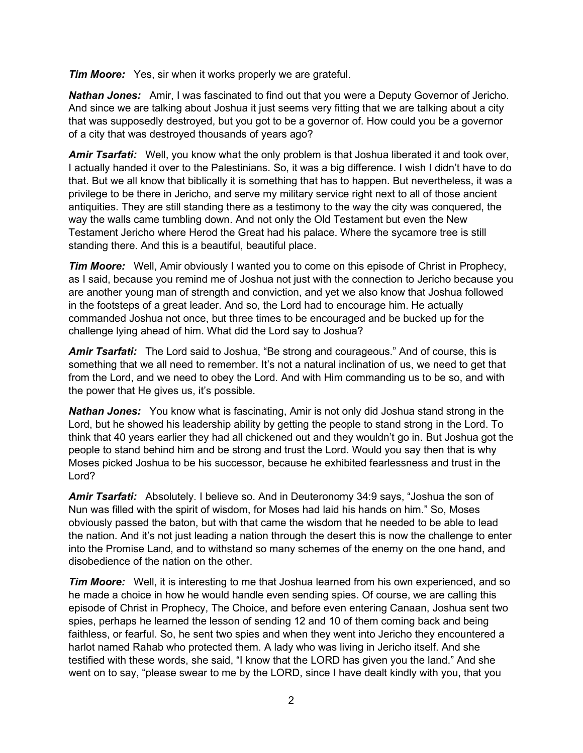*Tim Moore:* Yes, sir when it works properly we are grateful.

*Nathan Jones:* Amir, I was fascinated to find out that you were a Deputy Governor of Jericho. And since we are talking about Joshua it just seems very fitting that we are talking about a city that was supposedly destroyed, but you got to be a governor of. How could you be a governor of a city that was destroyed thousands of years ago?

*Amir Tsarfati:* Well, you know what the only problem is that Joshua liberated it and took over, I actually handed it over to the Palestinians. So, it was a big difference. I wish I didn't have to do that. But we all know that biblically it is something that has to happen. But nevertheless, it was a privilege to be there in Jericho, and serve my military service right next to all of those ancient antiquities. They are still standing there as a testimony to the way the city was conquered, the way the walls came tumbling down. And not only the Old Testament but even the New Testament Jericho where Herod the Great had his palace. Where the sycamore tree is still standing there. And this is a beautiful, beautiful place.

**Tim Moore:** Well, Amir obviously I wanted you to come on this episode of Christ in Prophecy, as I said, because you remind me of Joshua not just with the connection to Jericho because you are another young man of strength and conviction, and yet we also know that Joshua followed in the footsteps of a great leader. And so, the Lord had to encourage him. He actually commanded Joshua not once, but three times to be encouraged and be bucked up for the challenge lying ahead of him. What did the Lord say to Joshua?

*Amir Tsarfati:* The Lord said to Joshua, "Be strong and courageous." And of course, this is something that we all need to remember. It's not a natural inclination of us, we need to get that from the Lord, and we need to obey the Lord. And with Him commanding us to be so, and with the power that He gives us, it's possible.

*Nathan Jones:* You know what is fascinating, Amir is not only did Joshua stand strong in the Lord, but he showed his leadership ability by getting the people to stand strong in the Lord. To think that 40 years earlier they had all chickened out and they wouldn't go in. But Joshua got the people to stand behind him and be strong and trust the Lord. Would you say then that is why Moses picked Joshua to be his successor, because he exhibited fearlessness and trust in the Lord?

*Amir Tsarfati:* Absolutely. I believe so. And in Deuteronomy 34:9 says, "Joshua the son of Nun was filled with the spirit of wisdom, for Moses had laid his hands on him." So, Moses obviously passed the baton, but with that came the wisdom that he needed to be able to lead the nation. And it's not just leading a nation through the desert this is now the challenge to enter into the Promise Land, and to withstand so many schemes of the enemy on the one hand, and disobedience of the nation on the other.

*Tim Moore:* Well, it is interesting to me that Joshua learned from his own experienced, and so he made a choice in how he would handle even sending spies. Of course, we are calling this episode of Christ in Prophecy, The Choice, and before even entering Canaan, Joshua sent two spies, perhaps he learned the lesson of sending 12 and 10 of them coming back and being faithless, or fearful. So, he sent two spies and when they went into Jericho they encountered a harlot named Rahab who protected them. A lady who was living in Jericho itself. And she testified with these words, she said, "I know that the LORD has given you the land." And she went on to say, "please swear to me by the LORD, since I have dealt kindly with you, that you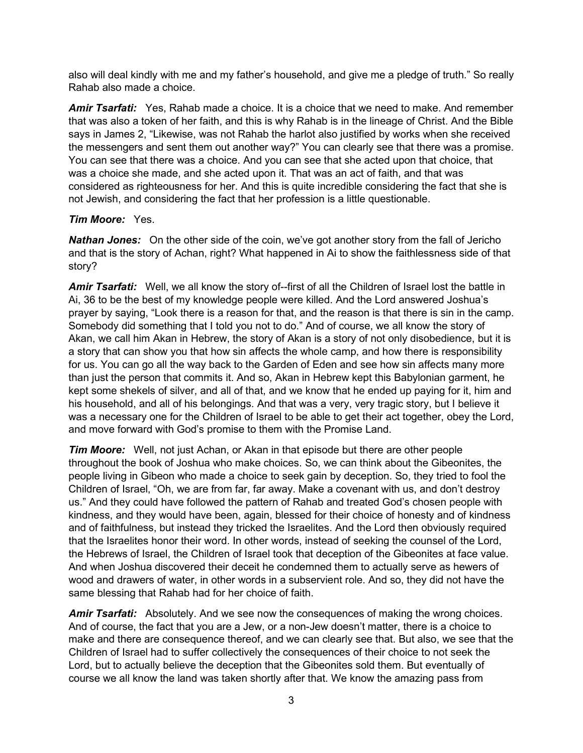also will deal kindly with me and my father's household, and give me a pledge of truth." So really Rahab also made a choice.

*Amir Tsarfati:* Yes, Rahab made a choice. It is a choice that we need to make. And remember that was also a token of her faith, and this is why Rahab is in the lineage of Christ. And the Bible says in James 2, "Likewise, was not Rahab the harlot also justified by works when she received the messengers and sent them out another way?" You can clearly see that there was a promise. You can see that there was a choice. And you can see that she acted upon that choice, that was a choice she made, and she acted upon it. That was an act of faith, and that was considered as righteousness for her. And this is quite incredible considering the fact that she is not Jewish, and considering the fact that her profession is a little questionable.

### *Tim Moore:* Yes.

*Nathan Jones:* On the other side of the coin, we've got another story from the fall of Jericho and that is the story of Achan, right? What happened in Ai to show the faithlessness side of that story?

*Amir Tsarfati:* Well, we all know the story of--first of all the Children of Israel lost the battle in Ai, 36 to be the best of my knowledge people were killed. And the Lord answered Joshua's prayer by saying, "Look there is a reason for that, and the reason is that there is sin in the camp. Somebody did something that I told you not to do." And of course, we all know the story of Akan, we call him Akan in Hebrew, the story of Akan is a story of not only disobedience, but it is a story that can show you that how sin affects the whole camp, and how there is responsibility for us. You can go all the way back to the Garden of Eden and see how sin affects many more than just the person that commits it. And so, Akan in Hebrew kept this Babylonian garment, he kept some shekels of silver, and all of that, and we know that he ended up paying for it, him and his household, and all of his belongings. And that was a very, very tragic story, but I believe it was a necessary one for the Children of Israel to be able to get their act together, obey the Lord, and move forward with God's promise to them with the Promise Land.

*Tim Moore:* Well, not just Achan, or Akan in that episode but there are other people throughout the book of Joshua who make choices. So, we can think about the Gibeonites, the people living in Gibeon who made a choice to seek gain by deception. So, they tried to fool the Children of Israel, "Oh, we are from far, far away. Make a covenant with us, and don't destroy us." And they could have followed the pattern of Rahab and treated God's chosen people with kindness, and they would have been, again, blessed for their choice of honesty and of kindness and of faithfulness, but instead they tricked the Israelites. And the Lord then obviously required that the Israelites honor their word. In other words, instead of seeking the counsel of the Lord, the Hebrews of Israel, the Children of Israel took that deception of the Gibeonites at face value. And when Joshua discovered their deceit he condemned them to actually serve as hewers of wood and drawers of water, in other words in a subservient role. And so, they did not have the same blessing that Rahab had for her choice of faith.

*Amir Tsarfati:* Absolutely. And we see now the consequences of making the wrong choices. And of course, the fact that you are a Jew, or a non-Jew doesn't matter, there is a choice to make and there are consequence thereof, and we can clearly see that. But also, we see that the Children of Israel had to suffer collectively the consequences of their choice to not seek the Lord, but to actually believe the deception that the Gibeonites sold them. But eventually of course we all know the land was taken shortly after that. We know the amazing pass from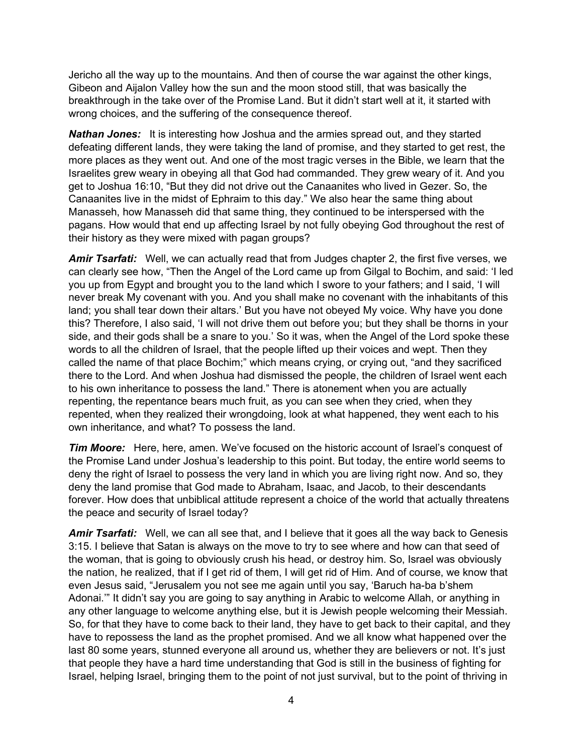Jericho all the way up to the mountains. And then of course the war against the other kings, Gibeon and Aijalon Valley how the sun and the moon stood still, that was basically the breakthrough in the take over of the Promise Land. But it didn't start well at it, it started with wrong choices, and the suffering of the consequence thereof.

*Nathan Jones:* It is interesting how Joshua and the armies spread out, and they started defeating different lands, they were taking the land of promise, and they started to get rest, the more places as they went out. And one of the most tragic verses in the Bible, we learn that the Israelites grew weary in obeying all that God had commanded. They grew weary of it. And you get to Joshua 16:10, "But they did not drive out the Canaanites who lived in Gezer. So, the Canaanites live in the midst of Ephraim to this day." We also hear the same thing about Manasseh, how Manasseh did that same thing, they continued to be interspersed with the pagans. How would that end up affecting Israel by not fully obeying God throughout the rest of their history as they were mixed with pagan groups?

*Amir Tsarfati:* Well, we can actually read that from Judges chapter 2, the first five verses, we can clearly see how, "Then the Angel of the Lord came up from Gilgal to Bochim, and said: 'I led you up from Egypt and brought you to the land which I swore to your fathers; and I said, 'I will never break My covenant with you. And you shall make no covenant with the inhabitants of this land; you shall tear down their altars.' But you have not obeyed My voice. Why have you done this? Therefore, I also said, 'I will not drive them out before you; but they shall be thorns in your side, and their gods shall be a snare to you.' So it was, when the Angel of the Lord spoke these words to all the children of Israel, that the people lifted up their voices and wept. Then they called the name of that place Bochim;" which means crying, or crying out, "and they sacrificed there to the Lord. And when Joshua had dismissed the people, the children of Israel went each to his own inheritance to possess the land." There is atonement when you are actually repenting, the repentance bears much fruit, as you can see when they cried, when they repented, when they realized their wrongdoing, look at what happened, they went each to his own inheritance, and what? To possess the land.

*Tim Moore:* Here, here, amen. We've focused on the historic account of Israel's conquest of the Promise Land under Joshua's leadership to this point. But today, the entire world seems to deny the right of Israel to possess the very land in which you are living right now. And so, they deny the land promise that God made to Abraham, Isaac, and Jacob, to their descendants forever. How does that unbiblical attitude represent a choice of the world that actually threatens the peace and security of Israel today?

*Amir Tsarfati:* Well, we can all see that, and I believe that it goes all the way back to Genesis 3:15. I believe that Satan is always on the move to try to see where and how can that seed of the woman, that is going to obviously crush his head, or destroy him. So, Israel was obviously the nation, he realized, that if I get rid of them, I will get rid of Him. And of course, we know that even Jesus said, "Jerusalem you not see me again until you say, 'Baruch ha-ba b'shem Adonai.'" It didn't say you are going to say anything in Arabic to welcome Allah, or anything in any other language to welcome anything else, but it is Jewish people welcoming their Messiah. So, for that they have to come back to their land, they have to get back to their capital, and they have to repossess the land as the prophet promised. And we all know what happened over the last 80 some years, stunned everyone all around us, whether they are believers or not. It's just that people they have a hard time understanding that God is still in the business of fighting for Israel, helping Israel, bringing them to the point of not just survival, but to the point of thriving in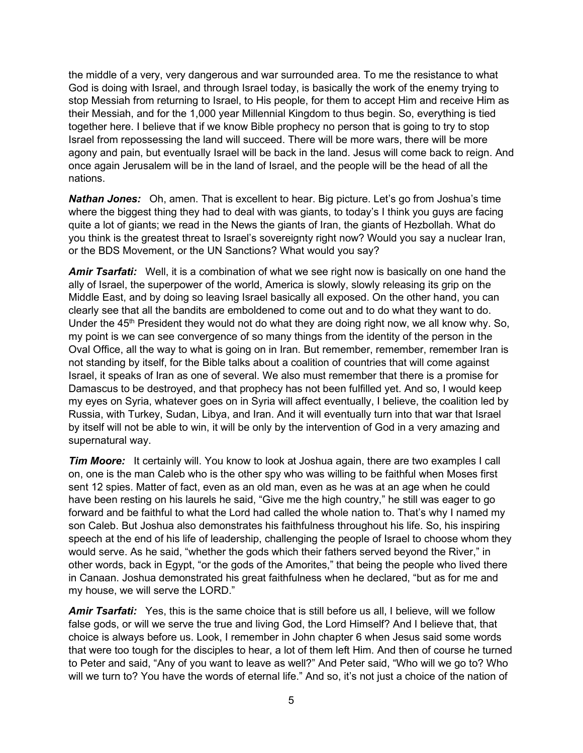the middle of a very, very dangerous and war surrounded area. To me the resistance to what God is doing with Israel, and through Israel today, is basically the work of the enemy trying to stop Messiah from returning to Israel, to His people, for them to accept Him and receive Him as their Messiah, and for the 1,000 year Millennial Kingdom to thus begin. So, everything is tied together here. I believe that if we know Bible prophecy no person that is going to try to stop Israel from repossessing the land will succeed. There will be more wars, there will be more agony and pain, but eventually Israel will be back in the land. Jesus will come back to reign. And once again Jerusalem will be in the land of Israel, and the people will be the head of all the nations.

*Nathan Jones:* Oh, amen. That is excellent to hear. Big picture. Let's go from Joshua's time where the biggest thing they had to deal with was giants, to today's I think you guys are facing quite a lot of giants; we read in the News the giants of Iran, the giants of Hezbollah. What do you think is the greatest threat to Israel's sovereignty right now? Would you say a nuclear Iran, or the BDS Movement, or the UN Sanctions? What would you say?

*Amir Tsarfati:* Well, it is a combination of what we see right now is basically on one hand the ally of Israel, the superpower of the world, America is slowly, slowly releasing its grip on the Middle East, and by doing so leaving Israel basically all exposed. On the other hand, you can clearly see that all the bandits are emboldened to come out and to do what they want to do. Under the  $45<sup>th</sup>$  President they would not do what they are doing right now, we all know why. So, my point is we can see convergence of so many things from the identity of the person in the Oval Office, all the way to what is going on in Iran. But remember, remember, remember Iran is not standing by itself, for the Bible talks about a coalition of countries that will come against Israel, it speaks of Iran as one of several. We also must remember that there is a promise for Damascus to be destroyed, and that prophecy has not been fulfilled yet. And so, I would keep my eyes on Syria, whatever goes on in Syria will affect eventually, I believe, the coalition led by Russia, with Turkey, Sudan, Libya, and Iran. And it will eventually turn into that war that Israel by itself will not be able to win, it will be only by the intervention of God in a very amazing and supernatural way.

*Tim Moore:* It certainly will. You know to look at Joshua again, there are two examples I call on, one is the man Caleb who is the other spy who was willing to be faithful when Moses first sent 12 spies. Matter of fact, even as an old man, even as he was at an age when he could have been resting on his laurels he said, "Give me the high country," he still was eager to go forward and be faithful to what the Lord had called the whole nation to. That's why I named my son Caleb. But Joshua also demonstrates his faithfulness throughout his life. So, his inspiring speech at the end of his life of leadership, challenging the people of Israel to choose whom they would serve. As he said, "whether the gods which their fathers served beyond the River," in other words, back in Egypt, "or the gods of the Amorites," that being the people who lived there in Canaan. Joshua demonstrated his great faithfulness when he declared, "but as for me and my house, we will serve the LORD."

*Amir Tsarfati:* Yes, this is the same choice that is still before us all, I believe, will we follow false gods, or will we serve the true and living God, the Lord Himself? And I believe that, that choice is always before us. Look, I remember in John chapter 6 when Jesus said some words that were too tough for the disciples to hear, a lot of them left Him. And then of course he turned to Peter and said, "Any of you want to leave as well?" And Peter said, "Who will we go to? Who will we turn to? You have the words of eternal life." And so, it's not just a choice of the nation of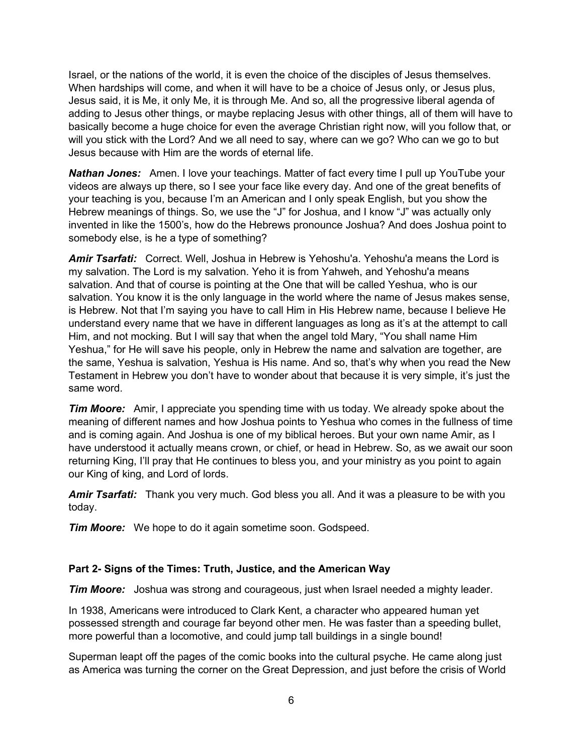Israel, or the nations of the world, it is even the choice of the disciples of Jesus themselves. When hardships will come, and when it will have to be a choice of Jesus only, or Jesus plus, Jesus said, it is Me, it only Me, it is through Me. And so, all the progressive liberal agenda of adding to Jesus other things, or maybe replacing Jesus with other things, all of them will have to basically become a huge choice for even the average Christian right now, will you follow that, or will you stick with the Lord? And we all need to say, where can we go? Who can we go to but Jesus because with Him are the words of eternal life.

*Nathan Jones:* Amen. I love your teachings. Matter of fact every time I pull up YouTube your videos are always up there, so I see your face like every day. And one of the great benefits of your teaching is you, because I'm an American and I only speak English, but you show the Hebrew meanings of things. So, we use the "J" for Joshua, and I know "J" was actually only invented in like the 1500's, how do the Hebrews pronounce Joshua? And does Joshua point to somebody else, is he a type of something?

*Amir Tsarfati:* Correct. Well, Joshua in Hebrew is Yehoshu'a. Yehoshu'a means the Lord is my salvation. The Lord is my salvation. Yeho it is from Yahweh, and Yehoshu'a means salvation. And that of course is pointing at the One that will be called Yeshua, who is our salvation. You know it is the only language in the world where the name of Jesus makes sense, is Hebrew. Not that I'm saying you have to call Him in His Hebrew name, because I believe He understand every name that we have in different languages as long as it's at the attempt to call Him, and not mocking. But I will say that when the angel told Mary, "You shall name Him Yeshua," for He will save his people, only in Hebrew the name and salvation are together, are the same, Yeshua is salvation, Yeshua is His name. And so, that's why when you read the New Testament in Hebrew you don't have to wonder about that because it is very simple, it's just the same word.

*Tim Moore:* Amir, I appreciate you spending time with us today. We already spoke about the meaning of different names and how Joshua points to Yeshua who comes in the fullness of time and is coming again. And Joshua is one of my biblical heroes. But your own name Amir, as I have understood it actually means crown, or chief, or head in Hebrew. So, as we await our soon returning King, I'll pray that He continues to bless you, and your ministry as you point to again our King of king, and Lord of lords.

*Amir Tsarfati:* Thank you very much. God bless you all. And it was a pleasure to be with you today.

*Tim Moore:* We hope to do it again sometime soon. Godspeed.

### **Part 2- Signs of the Times: Truth, Justice, and the American Way**

*Tim Moore:* Joshua was strong and courageous, just when Israel needed a mighty leader.

In 1938, Americans were introduced to Clark Kent, a character who appeared human yet possessed strength and courage far beyond other men. He was faster than a speeding bullet, more powerful than a locomotive, and could jump tall buildings in a single bound!

Superman leapt off the pages of the comic books into the cultural psyche. He came along just as America was turning the corner on the Great Depression, and just before the crisis of World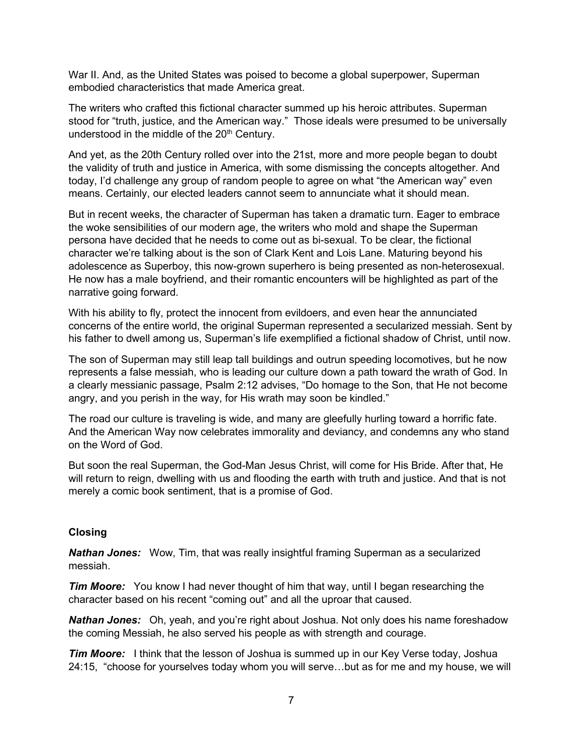War II. And, as the United States was poised to become a global superpower, Superman embodied characteristics that made America great.

The writers who crafted this fictional character summed up his heroic attributes. Superman stood for "truth, justice, and the American way." Those ideals were presumed to be universally understood in the middle of the  $20<sup>th</sup>$  Century.

And yet, as the 20th Century rolled over into the 21st, more and more people began to doubt the validity of truth and justice in America, with some dismissing the concepts altogether. And today, I'd challenge any group of random people to agree on what "the American way" even means. Certainly, our elected leaders cannot seem to annunciate what it should mean.

But in recent weeks, the character of Superman has taken a dramatic turn. Eager to embrace the woke sensibilities of our modern age, the writers who mold and shape the Superman persona have decided that he needs to come out as bi-sexual. To be clear, the fictional character we're talking about is the son of Clark Kent and Lois Lane. Maturing beyond his adolescence as Superboy, this now-grown superhero is being presented as non-heterosexual. He now has a male boyfriend, and their romantic encounters will be highlighted as part of the narrative going forward.

With his ability to fly, protect the innocent from evildoers, and even hear the annunciated concerns of the entire world, the original Superman represented a secularized messiah. Sent by his father to dwell among us, Superman's life exemplified a fictional shadow of Christ, until now.

The son of Superman may still leap tall buildings and outrun speeding locomotives, but he now represents a false messiah, who is leading our culture down a path toward the wrath of God. In a clearly messianic passage, Psalm 2:12 advises, "Do homage to the Son, that He not become angry, and you perish in the way, for His wrath may soon be kindled."

The road our culture is traveling is wide, and many are gleefully hurling toward a horrific fate. And the American Way now celebrates immorality and deviancy, and condemns any who stand on the Word of God.

But soon the real Superman, the God-Man Jesus Christ, will come for His Bride. After that, He will return to reign, dwelling with us and flooding the earth with truth and justice. And that is not merely a comic book sentiment, that is a promise of God.

### **Closing**

*Nathan Jones:* Wow, Tim, that was really insightful framing Superman as a secularized messiah.

*Tim Moore:* You know I had never thought of him that way, until I began researching the character based on his recent "coming out" and all the uproar that caused.

*Nathan Jones:* Oh, yeah, and you're right about Joshua. Not only does his name foreshadow the coming Messiah, he also served his people as with strength and courage.

*Tim Moore:* I think that the lesson of Joshua is summed up in our Key Verse today, Joshua 24:15, "choose for yourselves today whom you will serve…but as for me and my house, we will